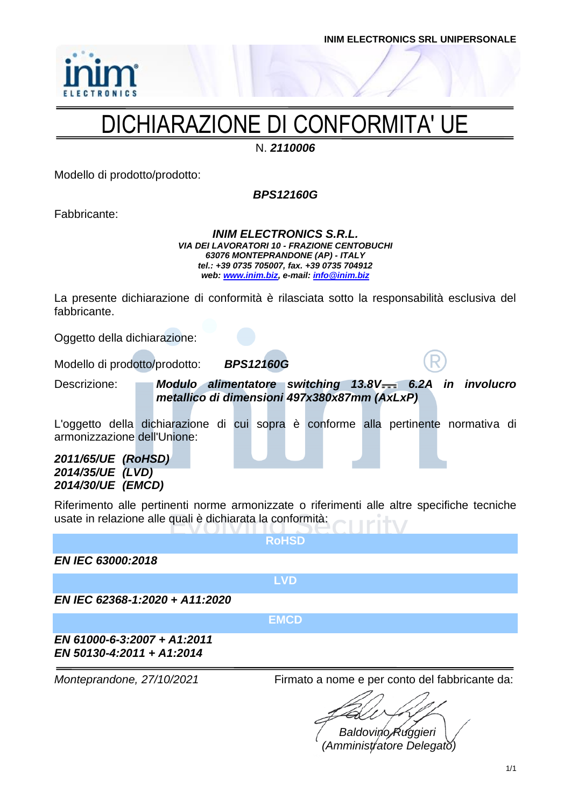

## DICHIARAZIONE DI CONFORMITA' UE

N. *2110006*

Modello di prodotto/prodotto:

*BPS12160G*

Fabbricante:

*INIM ELECTRONICS S.R.L. VIA DEI LAVORATORI 10 - FRAZIONE CENTOBUCHI 63076 MONTEPRANDONE (AP) - ITALY tel.: +39 0735 705007, fax. +39 0735 704912 web: [www.inim.biz,](http://www.inim.biz/) e-mail[: info@inim.biz](mailto:info@inim.biz)*

La presente dichiarazione di conformità è rilasciata sotto la responsabilità esclusiva del fabbricante.

Oggetto della dichiarazione:

Modello di prodotto/prodotto: *BPS12160G*

Descrizione: **Modulo alimentatore switching 13.8V 6.2A in involucro** *metallico di dimensioni 497x380x87mm (AxLxP)*

L'oggetto della dichiarazione di cui sopra è conforme alla pertinente normativa di armonizzazione dell'Unione:

*2011/65/UE (RoHSD) 2014/35/UE (LVD) 2014/30/UE (EMCD)*

Riferimento alle pertinenti norme armonizzate o riferimenti alle altre specifiche tecniche usate in relazione alle quali è dichiarata la conformità:

**RoHSD**

*EN IEC 63000:2018*

**LVD**

*EN IEC 62368-1:2020 + A11:2020*

**EMCD**

*EN 61000-6-3:2007 + A1:2011 EN 50130-4:2011 + A1:2014*

*Monteprandone, 27/10/2021* Firmato a nome e per conto del fabbricante da:

*Baldovino Ruggieri (Amministratore Delegato)*